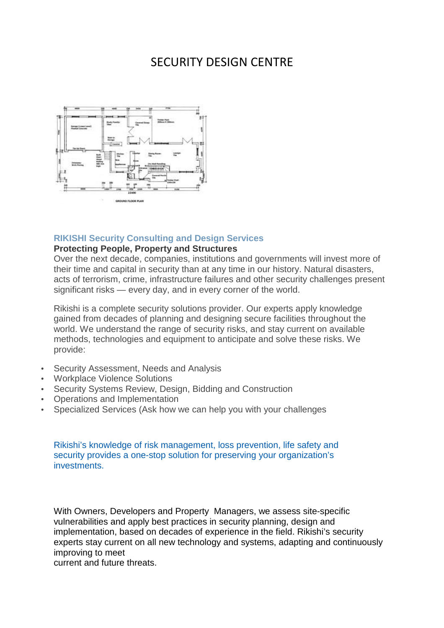## SECURITY DESIGN CENTRE



## **RIKISHI Security Consulting and Design Services**

## **Protecting People, Property and Structures**

Over the next decade, companies, institutions and governments will invest more of their time and capital in security than at any time in our history. Natural disasters, acts of terrorism, crime, infrastructure failures and other security challenges present significant risks — every day, and in every corner of the world.

Rikishi is a complete security solutions provider. Our experts apply knowledge gained from decades of planning and designing secure facilities throughout the world. We understand the range of security risks, and stay current on available methods, technologies and equipment to anticipate and solve these risks. We provide:

- Security Assessment, Needs and Analysis
- Workplace Violence Solutions
- Security Systems Review, Design, Bidding and Construction
- Operations and Implementation
- Specialized Services (Ask how we can help you with your challenges

Rikishi's knowledge of risk management, loss prevention, life safety and security provides a one-stop solution for preserving your organization's investments.

With Owners, Developers and Property Managers, we assess site-specific vulnerabilities and apply best practices in security planning, design and implementation, based on decades of experience in the field. Rikishi's security experts stay current on all new technology and systems, adapting and continuously improving to meet

current and future threats.